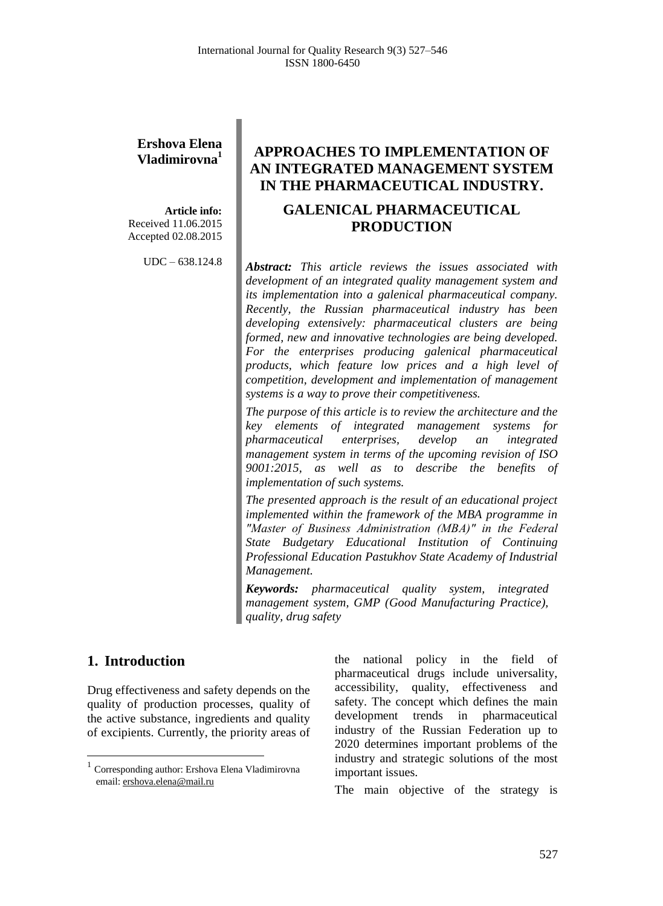# **Ershova Elena Vladimirovna<sup>1</sup>**

**Article info:** Received 11.06.2015 Accepted 02.08.2015

UDC – 638.124.8

# **APPROACHES TO IMPLEMENTATION OF AN INTEGRATED MANAGEMENT SYSTEM IN THE PHARMACEUTICAL INDUSTRY. GALENICAL PHARMACEUTICAL PRODUCTION**

*Abstract: This article reviews the issues associated with development of an integrated quality management system and its implementation into a galenical pharmaceutical company. Recently, the Russian pharmaceutical industry has been developing extensively: pharmaceutical clusters are being formed, new and innovative technologies are being developed. For the enterprises producing galenical pharmaceutical products, which feature low prices and a high level of competition, development and implementation of management systems is a way to prove their competitiveness.* 

*The purpose of this article is to review the architecture and the key elements of integrated management systems for pharmaceutical enterprises, develop an integrated management system in terms of the upcoming revision of ISO 9001:2015, as well as to describe the benefits of implementation of such systems.*

*The presented approach is the result of an educational project implemented within the framework of the MBA programme in "Master of Business Administration (МВА)" in the Federal State Budgetary Educational Institution of Continuing Professional Education Pastukhov State Academy of Industrial Management.*

*Keywords: pharmaceutical quality system, integrated management system, GMP (Good Manufacturing Practice), quality, drug safety*

## **1. Introduction<sup>1</sup>**

 $\overline{a}$ 

Drug effectiveness and safety depends on the quality of production processes, quality of the active substance, ingredients and quality of excipients. Currently, the priority areas of the national policy in the field of pharmaceutical drugs include universality, accessibility, quality, effectiveness and safety. The concept which defines the main development trends in pharmaceutical industry of the Russian Federation up to 2020 determines important problems of the industry and strategic solutions of the most important issues.

The main objective of the strategy is

<sup>&</sup>lt;sup>1</sup> Corresponding author: Ershova Elena Vladimirovna email: [ershova.elena@mail.ru](mailto:ershova.elena@mail.ru)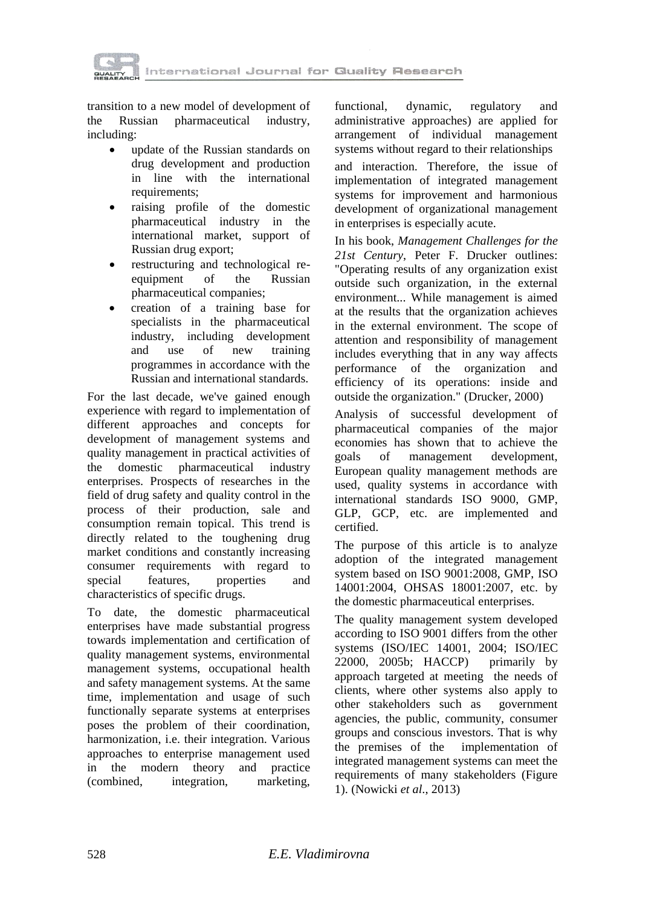

transition to a new model of development of the Russian pharmaceutical industry, including:

- update of the Russian standards on drug development and production in line with the international requirements;
- raising profile of the domestic pharmaceutical industry in the international market, support of Russian drug export;
- restructuring and technological reequipment of the Russian pharmaceutical companies;
- creation of a training base for specialists in the pharmaceutical industry, including development and use of new training programmes in accordance with the Russian and international standards.

For the last decade, we've gained enough experience with regard to implementation of different approaches and concepts for development of management systems and quality management in practical activities of the domestic pharmaceutical industry enterprises. Prospects of researches in the field of drug safety and quality control in the process of their production, sale and consumption remain topical. This trend is directly related to the toughening drug market conditions and constantly increasing consumer requirements with regard to special features, properties and characteristics of specific drugs.

To date, the domestic pharmaceutical enterprises have made substantial progress towards implementation and certification of quality management systems, environmental management systems, occupational health and safety management systems. At the same time, implementation and usage of such functionally separate systems at enterprises poses the problem of their coordination, harmonization, i.e. their integration. Various approaches to enterprise management used in the modern theory and practice (combined, integration, marketing, functional, dynamic, regulatory and administrative approaches) are applied for arrangement of individual management systems without regard to their relationships

and interaction. Therefore, the issue of implementation of integrated management systems for improvement and harmonious development of organizational management in enterprises is especially acute.

In his book, *Management Challenges for the 21st Century*, Peter F. Drucker outlines: "Operating results of any organization exist outside such organization, in the external environment... While management is aimed at the results that the organization achieves in the external environment. The scope of attention and responsibility of management includes everything that in any way affects performance of the organization and efficiency of its operations: inside and outside the organization." (Drucker, 2000)

Analysis of successful development of pharmaceutical companies of the major economies has shown that to achieve the goals of management development, European quality management methods are used, quality systems in accordance with international standards ISO 9000, GMP, GLP, GCP, etc. are implemented and certified.

The purpose of this article is to analyze adoption of the integrated management system based on ISO 9001:2008, GMP, ISO 14001:2004, OHSAS 18001:2007, etc. by the domestic pharmaceutical enterprises.

The quality management system developed according to ISO 9001 differs from the other systems (ISO/IEC 14001, 2004; ISO/IEC 22000, 2005b; HACCP) primarily by approach targeted at meeting the needs of clients, where other systems also apply to other stakeholders such as government agencies, the public, community, consumer groups and conscious investors. That is why the premises of the implementation of integrated management systems can meet the requirements of many stakeholders (Figure 1). (Nowicki *et al*., 2013)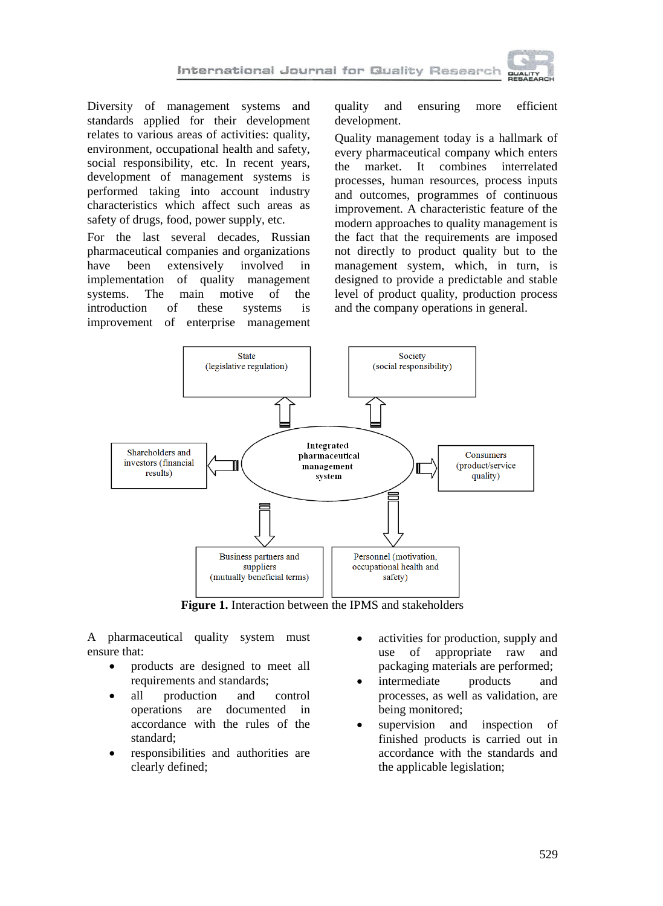

Diversity of management systems and standards applied for their development relates to various areas of activities: quality, environment, occupational health and safety, social responsibility, etc. In recent years, development of management systems is performed taking into account industry characteristics which affect such areas as safety of drugs, food, power supply, etc.

For the last several decades, Russian pharmaceutical companies and organizations have been extensively involved in implementation of quality management systems. The main motive of the introduction of these systems is improvement of enterprise management

quality and ensuring more efficient development.

Quality management today is a hallmark of every pharmaceutical company which enters the market. It combines interrelated processes, human resources, process inputs and outcomes, programmes of continuous improvement. A characteristic feature of the modern approaches to quality management is the fact that the requirements are imposed not directly to product quality but to the management system, which, in turn, is designed to provide a predictable and stable level of product quality, production process and the company operations in general.



**Figure 1.** Interaction between the IPMS and stakeholders

A pharmaceutical quality system must ensure that:

- products are designed to meet all requirements and standards;
- all production and control operations are documented in accordance with the rules of the standard;
- responsibilities and authorities are clearly defined;
- activities for production, supply and use of appropriate raw and packaging materials are performed;
- intermediate products and processes, as well as validation, are being monitored;
- supervision and inspection of finished products is carried out in accordance with the standards and the applicable legislation;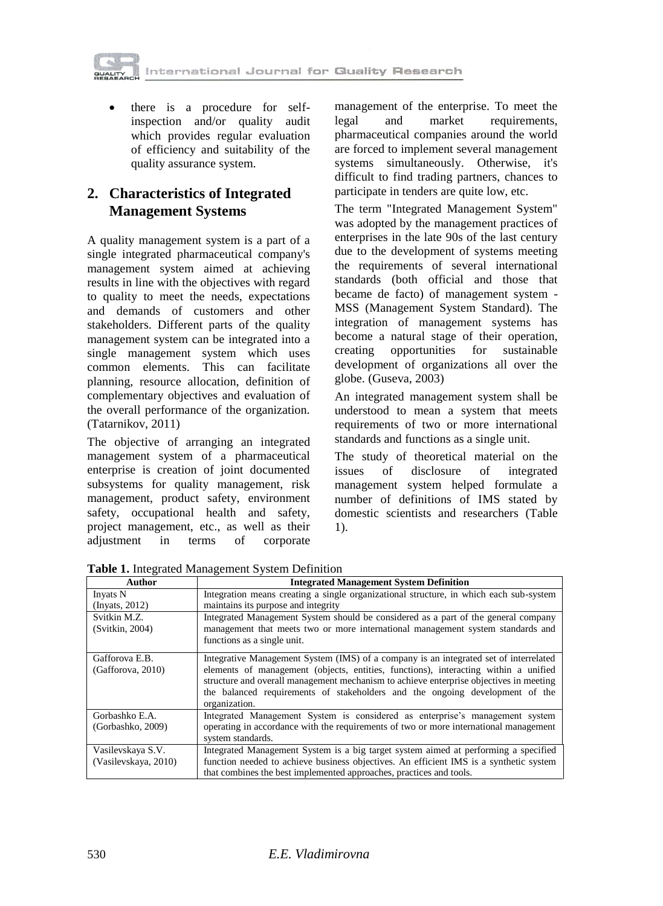

• there is a procedure for selfinspection and/or quality audit which provides regular evaluation of efficiency and suitability of the quality assurance system.

# **2. Characteristics of Integrated Management Systems**

A quality management system is a part of a single integrated pharmaceutical company's management system aimed at achieving results in line with the objectives with regard to quality to meet the needs, expectations and demands of customers and other stakeholders. Different parts of the quality management system can be integrated into a single management system which uses common elements. This can facilitate planning, resource allocation, definition of complementary objectives and evaluation of the overall performance of the organization. (Tatarnikov, 2011)

The objective of arranging an integrated management system of a pharmaceutical enterprise is creation of joint documented subsystems for quality management, risk management, product safety, environment safety, occupational health and safety, project management, etc., as well as their adjustment in terms of corporate management of the enterprise. To meet the legal and market requirements, pharmaceutical companies around the world are forced to implement several management systems simultaneously. Otherwise, it's difficult to find trading partners, chances to participate in tenders are quite low, etc.

The term "Integrated Management System" was adopted by the management practices of enterprises in the late 90s of the last century due to the development of systems meeting the requirements of several international standards (both official and those that became de facto) of management system - MSS (Management System Standard). The integration of management systems has become a natural stage of their operation, creating opportunities for sustainable development of organizations all over the globe. (Guseva, 2003)

An integrated management system shall be understood to mean a system that meets requirements of two or more international standards and functions as a single unit.

The study of theoretical material on the issues of disclosure of integrated management system helped formulate a number of definitions of IMS stated by domestic scientists and researchers (Table 1).

| Author                                    | <b>Integrated Management System Definition</b>                                                                                                                                                                                                                                                                                                                          |
|-------------------------------------------|-------------------------------------------------------------------------------------------------------------------------------------------------------------------------------------------------------------------------------------------------------------------------------------------------------------------------------------------------------------------------|
| Invats N<br>$($ Invats, 2012 $)$          | Integration means creating a single organizational structure, in which each sub-system<br>maintains its purpose and integrity                                                                                                                                                                                                                                           |
| Svitkin M.Z.<br>(Svitkin, 2004)           | Integrated Management System should be considered as a part of the general company<br>management that meets two or more international management system standards and<br>functions as a single unit.                                                                                                                                                                    |
| Gafforova E.B.<br>(Gafforova, 2010)       | Integrative Management System (IMS) of a company is an integrated set of interrelated<br>elements of management (objects, entities, functions), interacting within a unified<br>structure and overall management mechanism to achieve enterprise objectives in meeting<br>the balanced requirements of stakeholders and the ongoing development of the<br>organization. |
| Gorbashko E.A.<br>(Gorbashko, 2009)       | Integrated Management System is considered as enterprise's management system<br>operating in accordance with the requirements of two or more international management<br>system standards.                                                                                                                                                                              |
| Vasilevskaya S.V.<br>(Vasilevskaya, 2010) | Integrated Management System is a big target system aimed at performing a specified<br>function needed to achieve business objectives. An efficient IMS is a synthetic system<br>that combines the best implemented approaches, practices and tools.                                                                                                                    |

**Table 1.** Integrated Management System Definition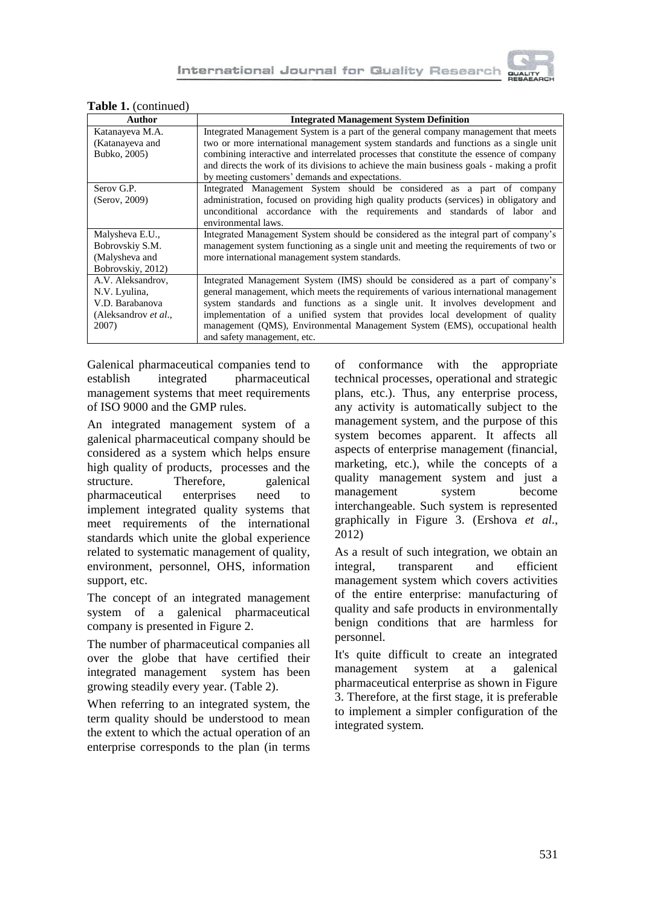

| $\mathbf{r}$ and $\mathbf{r}$ , committed,<br>Author |                                                                                            |
|------------------------------------------------------|--------------------------------------------------------------------------------------------|
|                                                      | <b>Integrated Management System Definition</b>                                             |
| Katanayeva M.A.                                      | Integrated Management System is a part of the general company management that meets        |
| (Katanayeva and                                      | two or more international management system standards and functions as a single unit       |
| Bubko, 2005)                                         | combining interactive and interrelated processes that constitute the essence of company    |
|                                                      | and directs the work of its divisions to achieve the main business goals - making a profit |
|                                                      | by meeting customers' demands and expectations.                                            |
| Serov G.P.                                           | Integrated Management System should be considered as a part of company                     |
| (Serov, 2009)                                        | administration, focused on providing high quality products (services) in obligatory and    |
|                                                      | unconditional accordance with the requirements and standards of labor and                  |
|                                                      | environmental laws.                                                                        |
| Malysheva E.U.,                                      | Integrated Management System should be considered as the integral part of company's        |
| Bobrovskiy S.M.                                      | management system functioning as a single unit and meeting the requirements of two or      |
| (Malysheva and                                       | more international management system standards.                                            |
| Bobrovskiy, 2012)                                    |                                                                                            |
| A.V. Aleksandrov,                                    | Integrated Management System (IMS) should be considered as a part of company's             |
| N.V. Lyulina,                                        | general management, which meets the requirements of various international management       |
| V.D. Barabanova                                      | system standards and functions as a single unit. It involves development and               |
| (Aleksandrov et al.,                                 | implementation of a unified system that provides local development of quality              |
| 2007)                                                | management (QMS), Environmental Management System (EMS), occupational health               |
|                                                      | and safety management, etc.                                                                |

#### **Table 1.** (continued)

Galenical pharmaceutical companies tend to establish integrated pharmaceutical management systems that meet requirements of ISO 9000 and the GMP rules.

An integrated management system of a galenical pharmaceutical company should be considered as a system which helps ensure high quality of products, processes and the structure. Therefore, galenical pharmaceutical enterprises need to implement integrated quality systems that meet requirements of the international standards which unite the global experience related to systematic management of quality, environment, personnel, OHS, information support, etc.

The concept of an integrated management system of a galenical pharmaceutical company is presented in Figure 2.

The number of pharmaceutical companies all over the globe that have certified their integrated management system has been growing steadily every year. (Table 2).

When referring to an integrated system, the term quality should be understood to mean the extent to which the actual operation of an enterprise corresponds to the plan (in terms

of conformance with the appropriate technical processes, operational and strategic plans, etc.). Thus, any enterprise process, any activity is automatically subject to the management system, and the purpose of this system becomes apparent. It affects all aspects of enterprise management (financial, marketing, etc.), while the concepts of a quality management system and just a management system become interchangeable. Such system is represented graphically in Figure 3. (Ershova *et al*., 2012)

As a result of such integration, we obtain an integral, transparent and efficient management system which covers activities of the entire enterprise: manufacturing of quality and safe products in environmentally benign conditions that are harmless for personnel.

It's quite difficult to create an integrated management system at a galenical pharmaceutical enterprise as shown in Figure 3. Therefore, at the first stage, it is preferable to implement a simpler configuration of the integrated system.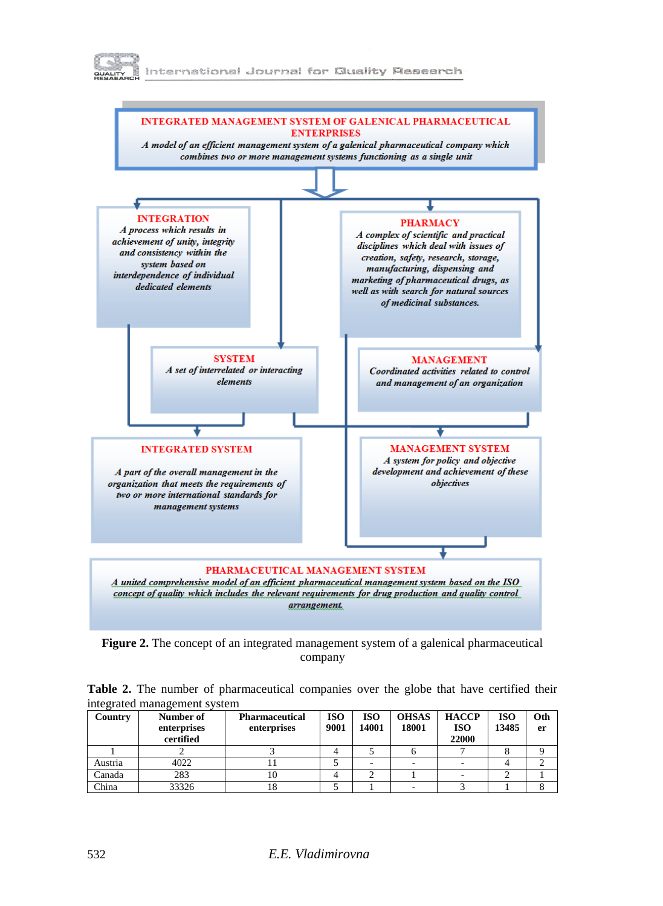



**Figure 2.** The concept of an integrated management system of a galenical pharmaceutical company

|                              |  | Table 2. The number of pharmaceutical companies over the globe that have certified their |  |  |  |  |
|------------------------------|--|------------------------------------------------------------------------------------------|--|--|--|--|
| integrated management system |  |                                                                                          |  |  |  |  |

| Country | Number of<br>enterprises<br>certified | <b>Pharmaceutical</b><br>enterprises | <b>ISO</b><br>9001 | <b>ISO</b><br>14001 | <b>OHSAS</b><br>18001 | <b>HACCP</b><br><b>ISO</b><br>22000 | <b>ISO</b><br>13485 | Oth<br>er |
|---------|---------------------------------------|--------------------------------------|--------------------|---------------------|-----------------------|-------------------------------------|---------------------|-----------|
|         |                                       |                                      |                    |                     |                       |                                     |                     |           |
| Austria | 4022                                  |                                      |                    |                     |                       |                                     |                     |           |
| Canada  | 283                                   | 10                                   |                    |                     |                       |                                     |                     |           |
| China   | 33326                                 |                                      |                    |                     |                       |                                     |                     |           |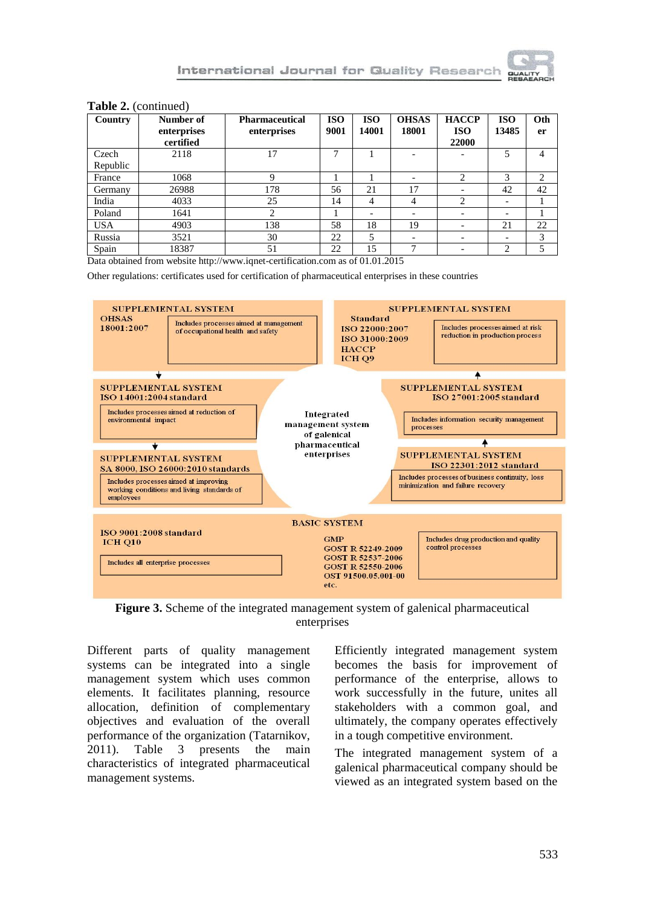#### **Table 2.** (continued)

| Country           | Number of<br>enterprises<br>certified | <b>Pharmaceutical</b><br>enterprises | <b>ISO</b><br>9001 | <b>ISO</b><br>14001 | <b>OHSAS</b><br>18001 | <b>HACCP</b><br><b>ISO</b><br>22000 | <b>ISO</b><br>13485 | Oth<br>er |
|-------------------|---------------------------------------|--------------------------------------|--------------------|---------------------|-----------------------|-------------------------------------|---------------------|-----------|
| Czech<br>Republic | 2118                                  | 17                                   | 7                  |                     |                       |                                     | 5                   | 4         |
| France            | 1068                                  |                                      |                    |                     |                       | $\overline{c}$                      | 3                   | 2         |
| Germany           | 26988                                 | 178                                  | 56                 | 21                  | 17                    | $\overline{\phantom{a}}$            | 42                  | 42        |
| India             | 4033                                  | 25                                   | 14                 | 4                   | 4                     | $\overline{c}$                      | ۰                   |           |
| Poland            | 1641                                  |                                      |                    |                     |                       | ٠                                   | ۰                   |           |
| <b>USA</b>        | 4903                                  | 138                                  | 58                 | 18                  | 19                    | $\overline{\phantom{a}}$            | 21                  | 22        |
| Russia            | 3521                                  | 30                                   | 22                 | 5                   |                       | -                                   | ۰                   | 3         |
| Spain             | 18387                                 | 51                                   | 22                 | 15                  | ⇁                     |                                     | $\mathcal{L}$       | 5         |

Data obtained from website http://www.iqnet-certification.com as of 01.01.2015

Other regulations: certificates used for certification of pharmaceutical enterprises in these countries



**Figure 3.** Scheme of the integrated management system of galenical pharmaceutical enterprises

Different parts of quality management systems can be integrated into a single management system which uses common elements. It facilitates planning, resource allocation, definition of complementary objectives and evaluation of the overall performance of the organization (Tatarnikov, 2011). Table 3 presents the main characteristics of integrated pharmaceutical management systems.

Efficiently integrated management system becomes the basis for improvement of performance of the enterprise, allows to work successfully in the future, unites all stakeholders with a common goal, and ultimately, the company operates effectively in a tough competitive environment.

The integrated management system of a galenical pharmaceutical company should be viewed as an integrated system based on the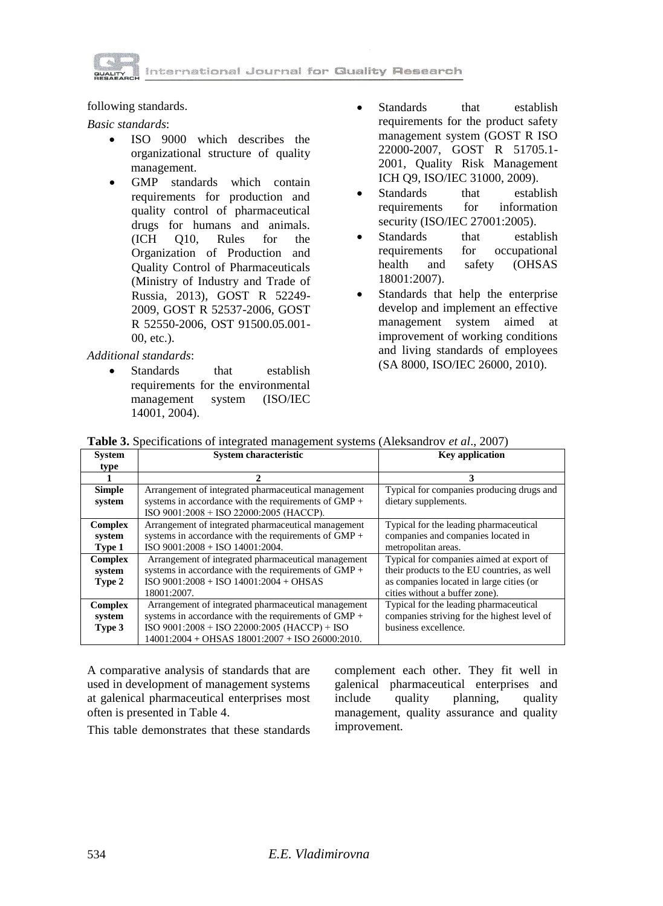

following standards.

*Basic standards*:

- ISO 9000 which describes the organizational structure of quality management.
- GMP standards which contain requirements for production and quality control of pharmaceutical drugs for humans and animals. (ICH Q10, Rules for the Organization of Production and Quality Control of Pharmaceuticals (Ministry of Industry and Trade of Russia, 2013), GOST R 52249- 2009, GOST R 52537-2006, GOST R 52550-2006, OST 91500.05.001- 00, etc.).

*Additional standards*:

Standards that establish requirements for the environmental management system (ISO/IEC 14001, 2004).

- Standards that establish requirements for the product safety management system (GOST R ISO 22000-2007, GOST R 51705.1- 2001, Quality Risk Management ICH Q9, ISO/IEC 31000, 2009).
- Standards that establish<br>requirements for information requirements for security (ISO/IEC 27001:2005).
- Standards that establish requirements for occupational<br>health and safety (OHSAS and safety (OHSAS 18001:2007).
- Standards that help the enterprise develop and implement an effective management system aimed at improvement of working conditions and living standards of employees (SA 8000, ISO/IEC 26000, 2010).

|  |  | Table 3. Specifications of integrated management systems (Aleksandrov et al., 2007) |  |
|--|--|-------------------------------------------------------------------------------------|--|
|  |  |                                                                                     |  |

| <b>System</b>  | System characteristic                                  | <b>Key application</b>                      |
|----------------|--------------------------------------------------------|---------------------------------------------|
| type           |                                                        |                                             |
|                |                                                        | 3                                           |
| <b>Simple</b>  | Arrangement of integrated pharmaceutical management    | Typical for companies producing drugs and   |
| system         | systems in accordance with the requirements of $GMP +$ | dietary supplements.                        |
|                | ISO 9001:2008 + ISO 22000:2005 (HACCP).                |                                             |
| <b>Complex</b> | Arrangement of integrated pharmaceutical management    | Typical for the leading pharmaceutical      |
| system         | systems in accordance with the requirements of $GMP +$ | companies and companies located in          |
| Type 1         | $ISO$ 9001:2008 + ISO 14001:2004.                      | metropolitan areas.                         |
| <b>Complex</b> | Arrangement of integrated pharmaceutical management    | Typical for companies aimed at export of    |
| system         | systems in accordance with the requirements of GMP +   | their products to the EU countries, as well |
| Type 2         | $ISO 9001:2008 + ISO 14001:2004 + OHSAS$               | as companies located in large cities (or    |
|                | 18001:2007.                                            | cities without a buffer zone).              |
| <b>Complex</b> | Arrangement of integrated pharmaceutical management    | Typical for the leading pharmaceutical      |
| system         | systems in accordance with the requirements of $GMP +$ | companies striving for the highest level of |
| Type 3         | ISO 9001:2008 + ISO 22000:2005 (HACCP) + ISO           | business excellence.                        |
|                | $14001:2004 + OHSAS$ $18001:2007 + ISO$ $26000:2010$ . |                                             |

A comparative analysis of standards that are used in development of management systems at galenical pharmaceutical enterprises most often is presented in Table 4.

This table demonstrates that these standards

complement each other. They fit well in galenical pharmaceutical enterprises and include quality planning, quality management, quality assurance and quality improvement.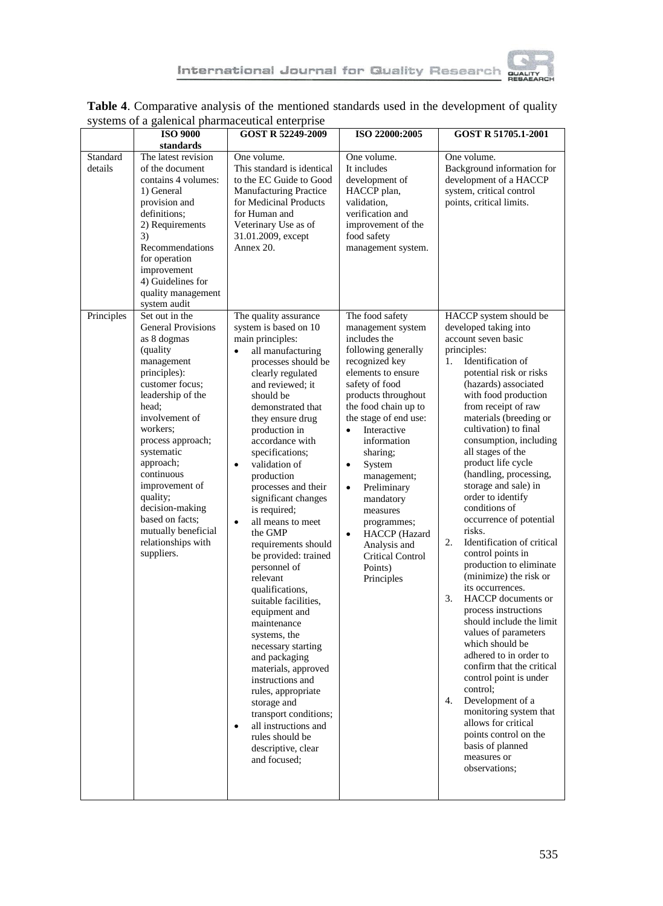

|                                   |                                                                                                                                                                                                                                                                                                                                                                 | s j stems of a galemear pharmaceatical enterprise                                                                                                                                                                                                                                                                                                                                                                                                                                                                                                                                                                                                                                                                                                                                                                                   |                                                                                                                                                                                                                                                                                                                                                                                                                                                               |                                                                                                                                                                                                                                                                                                                                                                                                                                                                                                                                                                                                                                                                                                                                                                                                                                                                                                                                                                 |  |
|-----------------------------------|-----------------------------------------------------------------------------------------------------------------------------------------------------------------------------------------------------------------------------------------------------------------------------------------------------------------------------------------------------------------|-------------------------------------------------------------------------------------------------------------------------------------------------------------------------------------------------------------------------------------------------------------------------------------------------------------------------------------------------------------------------------------------------------------------------------------------------------------------------------------------------------------------------------------------------------------------------------------------------------------------------------------------------------------------------------------------------------------------------------------------------------------------------------------------------------------------------------------|---------------------------------------------------------------------------------------------------------------------------------------------------------------------------------------------------------------------------------------------------------------------------------------------------------------------------------------------------------------------------------------------------------------------------------------------------------------|-----------------------------------------------------------------------------------------------------------------------------------------------------------------------------------------------------------------------------------------------------------------------------------------------------------------------------------------------------------------------------------------------------------------------------------------------------------------------------------------------------------------------------------------------------------------------------------------------------------------------------------------------------------------------------------------------------------------------------------------------------------------------------------------------------------------------------------------------------------------------------------------------------------------------------------------------------------------|--|
|                                   | <b>ISO 9000</b><br>standards                                                                                                                                                                                                                                                                                                                                    | GOST R 52249-2009                                                                                                                                                                                                                                                                                                                                                                                                                                                                                                                                                                                                                                                                                                                                                                                                                   | ISO 22000:2005                                                                                                                                                                                                                                                                                                                                                                                                                                                | GOST R 51705.1-2001                                                                                                                                                                                                                                                                                                                                                                                                                                                                                                                                                                                                                                                                                                                                                                                                                                                                                                                                             |  |
| Standard<br>details<br>Principles | The latest revision<br>of the document<br>contains 4 volumes:<br>1) General<br>provision and<br>definitions;<br>2) Requirements<br>3)<br>Recommendations<br>for operation<br>improvement<br>4) Guidelines for<br>quality management<br>system audit<br>Set out in the                                                                                           | One volume.<br>This standard is identical<br>to the EC Guide to Good<br><b>Manufacturing Practice</b><br>for Medicinal Products<br>for Human and<br>Veterinary Use as of<br>31.01.2009, except<br>Annex 20.<br>The quality assurance                                                                                                                                                                                                                                                                                                                                                                                                                                                                                                                                                                                                | One volume.<br>It includes<br>development of<br>HACCP plan,<br>validation,<br>verification and<br>improvement of the<br>food safety<br>management system.<br>The food safety                                                                                                                                                                                                                                                                                  | One volume.<br>Background information for<br>development of a HACCP<br>system, critical control<br>points, critical limits.<br>HACCP system should be                                                                                                                                                                                                                                                                                                                                                                                                                                                                                                                                                                                                                                                                                                                                                                                                           |  |
|                                   | <b>General Provisions</b><br>as 8 dogmas<br>(quality)<br>management<br>principles):<br>customer focus;<br>leadership of the<br>head:<br>involvement of<br>workers;<br>process approach;<br>systematic<br>approach;<br>continuous<br>improvement of<br>quality;<br>decision-making<br>based on facts:<br>mutually beneficial<br>relationships with<br>suppliers. | system is based on 10<br>main principles:<br>all manufacturing<br>$\bullet$<br>processes should be<br>clearly regulated<br>and reviewed; it<br>should be<br>demonstrated that<br>they ensure drug<br>production in<br>accordance with<br>specifications;<br>validation of<br>$\bullet$<br>production<br>processes and their<br>significant changes<br>is required;<br>all means to meet<br>$\bullet$<br>the GMP<br>requirements should<br>be provided: trained<br>personnel of<br>relevant<br>qualifications,<br>suitable facilities,<br>equipment and<br>maintenance<br>systems, the<br>necessary starting<br>and packaging<br>materials, approved<br>instructions and<br>rules, appropriate<br>storage and<br>transport conditions;<br>all instructions and<br>$\bullet$<br>rules should be<br>descriptive, clear<br>and focused: | management system<br>includes the<br>following generally<br>recognized key<br>elements to ensure<br>safety of food<br>products throughout<br>the food chain up to<br>the stage of end use:<br>Interactive<br>$\bullet$<br>information<br>sharing;<br>System<br>$\bullet$<br>management;<br>$\bullet$<br>Preliminary<br>mandatory<br>measures<br>programmes;<br>$\bullet$<br>HACCP (Hazard<br>Analysis and<br><b>Critical Control</b><br>Points)<br>Principles | developed taking into<br>account seven basic<br>principles:<br>Identification of<br>1.<br>potential risk or risks<br>(hazards) associated<br>with food production<br>from receipt of raw<br>materials (breeding or<br>cultivation) to final<br>consumption, including<br>all stages of the<br>product life cycle<br>(handling, processing,<br>storage and sale) in<br>order to identify<br>conditions of<br>occurrence of potential<br>risks.<br>2.<br>Identification of critical<br>control points in<br>production to eliminate<br>(minimize) the risk or<br>its occurrences.<br>HACCP documents or<br>3.<br>process instructions<br>should include the limit<br>values of parameters<br>which should be<br>adhered to in order to<br>confirm that the critical<br>control point is under<br>control:<br>4.<br>Development of a<br>monitoring system that<br>allows for critical<br>points control on the<br>basis of planned<br>measures or<br>observations: |  |

#### **Table 4**. Comparative analysis of the mentioned standards used in the development of quality systems of a galenical pharmaceutical enterprise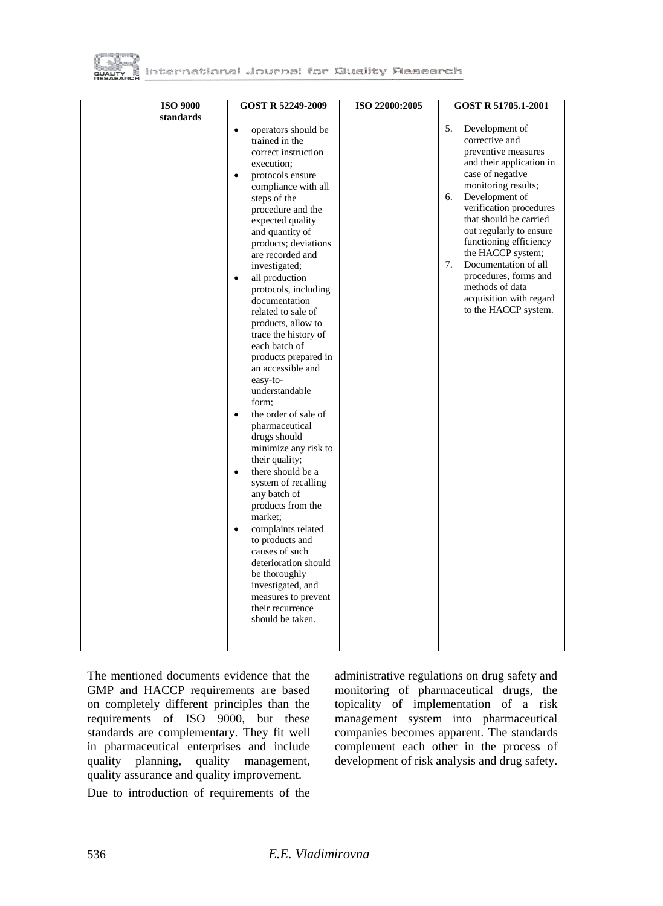

| <b>ISO 9000</b><br>standards | GOST R 52249-2009                                                                                                                                                                                                                                                                                                                                                                                                                                                                                                                                                                                                                                                                                                                                                                                                                                                                                                                                           | ISO 22000:2005 | GOST R 51705.1-2001                                                                                                                                                                                                                                                                                                                                                                                                      |
|------------------------------|-------------------------------------------------------------------------------------------------------------------------------------------------------------------------------------------------------------------------------------------------------------------------------------------------------------------------------------------------------------------------------------------------------------------------------------------------------------------------------------------------------------------------------------------------------------------------------------------------------------------------------------------------------------------------------------------------------------------------------------------------------------------------------------------------------------------------------------------------------------------------------------------------------------------------------------------------------------|----------------|--------------------------------------------------------------------------------------------------------------------------------------------------------------------------------------------------------------------------------------------------------------------------------------------------------------------------------------------------------------------------------------------------------------------------|
|                              | operators should be<br>$\bullet$<br>trained in the<br>correct instruction<br>execution;<br>protocols ensure<br>$\bullet$<br>compliance with all<br>steps of the<br>procedure and the<br>expected quality<br>and quantity of<br>products; deviations<br>are recorded and<br>investigated;<br>all production<br>$\bullet$<br>protocols, including<br>documentation<br>related to sale of<br>products, allow to<br>trace the history of<br>each batch of<br>products prepared in<br>an accessible and<br>easy-to-<br>understandable<br>form;<br>the order of sale of<br>pharmaceutical<br>drugs should<br>minimize any risk to<br>their quality;<br>there should be a<br>$\bullet$<br>system of recalling<br>any batch of<br>products from the<br>market:<br>complaints related<br>$\bullet$<br>to products and<br>causes of such<br>deterioration should<br>be thoroughly<br>investigated, and<br>measures to prevent<br>their recurrence<br>should be taken. |                | 5.<br>Development of<br>corrective and<br>preventive measures<br>and their application in<br>case of negative<br>monitoring results;<br>6.<br>Development of<br>verification procedures<br>that should be carried<br>out regularly to ensure<br>functioning efficiency<br>the HACCP system;<br>Documentation of all<br>7.<br>procedures, forms and<br>methods of data<br>acquisition with regard<br>to the HACCP system. |

The mentioned documents evidence that the GMP and HACCP requirements are based on completely different principles than the requirements of ISO 9000, but these standards are complementary. They fit well in pharmaceutical enterprises and include quality planning, quality management, quality assurance and quality improvement.

Due to introduction of requirements of the

administrative regulations on drug safety and monitoring of pharmaceutical drugs, the topicality of implementation of a risk management system into pharmaceutical companies becomes apparent. The standards complement each other in the process of development of risk analysis and drug safety.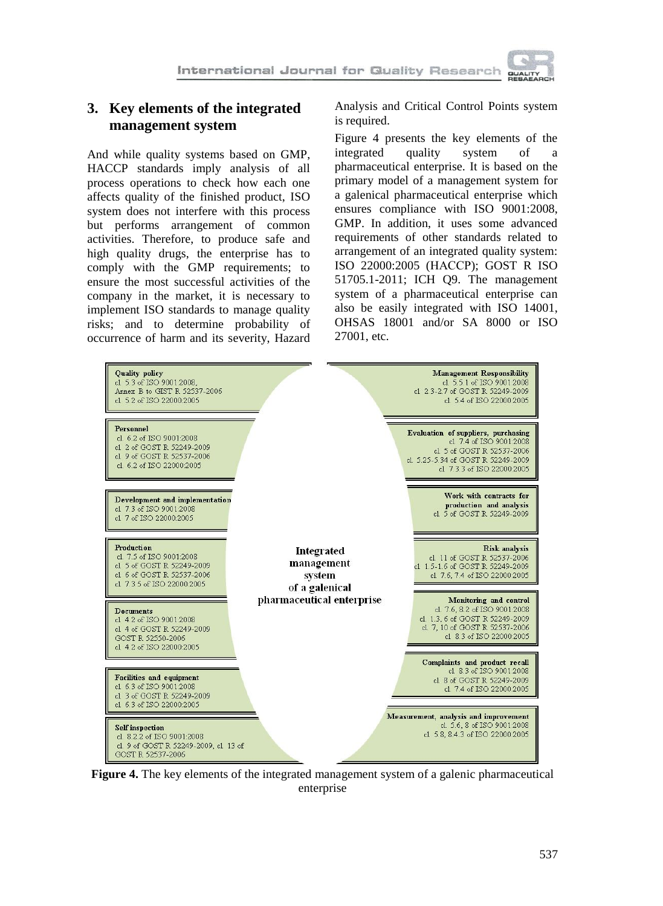

# **3. Key elements of the integrated management system**

And while quality systems based on GMP, HACCP standards imply analysis of all process operations to check how each one affects quality of the finished product, ISO system does not interfere with this process but performs arrangement of common activities. Therefore, to produce safe and high quality drugs, the enterprise has to comply with the GMP requirements; to ensure the most successful activities of the company in the market, it is necessary to implement ISO standards to manage quality risks; and to determine probability of occurrence of harm and its severity, Hazard Analysis and Critical Control Points system is required.

Figure 4 presents the key elements of the integrated quality system of a pharmaceutical enterprise. It is based on the primary model of a management system for a galenical pharmaceutical enterprise which ensures compliance with ISO 9001:2008, GMP. In addition, it uses some advanced requirements of other standards related to arrangement of an integrated quality system: ISO 22000:2005 (НАССР); GOST R ISO 51705.1-2011; ICH Q9. The management system of a pharmaceutical enterprise can also be easily integrated with ISO 14001, OHSAS 18001 and/or SA 8000 or ISO 27001, etc.

| <b>Quality policy</b><br>cl. 5.3 of ISO 9001:2008.<br>Annex B to GIST R 52537-2006<br>cl. 5.2 of ISO 22000:2005                 |                                                      | <b>Management Responsibility</b><br>cl. 5.5.1 of ISO 9001:2008<br>cl. 2.3-2.7 of GOST R 52249-2009<br>cl. 5.4 of ISO 22000:2005                                           |
|---------------------------------------------------------------------------------------------------------------------------------|------------------------------------------------------|---------------------------------------------------------------------------------------------------------------------------------------------------------------------------|
| Personnel<br>cl. 6.2 of ISO 9001:2008<br>cl. 2 of GOST R 52249-2009<br>cl 9 of GOST R 52537-2006<br>cl. 6.2 of ISO 22000:2005   |                                                      | <b>Evaluation of suppliers</b> , purchasing<br>cl. 7.4 of ISO 9001:2008<br>cl. 5 of GOST R 52537-2006<br>cl 5.25-5.34 of GOST R 52249-2009<br>cl. 7.3.3 of ISO 22000:2005 |
| Development and implementation<br>cl. 7.3 of ISO 9001:2008<br>cl. 7 of ISO 22000:2005                                           |                                                      | Work with contracts for<br>production and analysis<br>cl. 5 of GOST R 52249-2009                                                                                          |
| Production<br>cl. 7.5 of ISO 9001:2008<br>cl. 5 of GOST R 52249-2009<br>cl 6 of GOST R 52537-2006<br>cl 7.3.5 of ISO 22000:2005 | Integrated<br>management<br>system<br>of a galenical | <b>Risk analysis</b><br>cl. 11 of GOST R 52537-2006<br>cl 1.5-1.6 of GOST R 52249-2009<br>cl. 7.6, 7.4 of ISO 22000:2005                                                  |
| <b>Documents</b><br>cl. 4.2 of ISO 9001:2008<br>cl. 4 of GOST R 52249-2009<br>GOST R 52550-2006<br>cl. 4.2 of ISO 22000:2005    | pharmaceutical enterprise                            | Monitoring and control<br>cl. 7.6, 8.2 of ISO 9001:2008<br>cl. 1.3, 6 of GOST R 52249-2009<br>cl. 7, 10 of GOST R 52537-2006<br>cl. 8.3 of ISO 22000:2005                 |
| <b>Facilities and equipment</b><br>cl 6.3 of ISO 9001:2008<br>cl 3 of GOST R 52249-2009<br>cl. 6.3 of ISO 22000:2005            |                                                      | Complaints and product recall<br>cl. 8.3 of ISO 9001:2008<br>cl. 8 of GOST R 52249-2009<br>cl. 7.4 of ISO 22000:2005                                                      |
| <b>Self</b> inspection<br>cl. 8.2.2 of ISO 9001:2008<br>cl. 9 of GOST R 52249-2009, cl. 13 of<br>GOST R 52537-2006              |                                                      | Measurement, analysis and improvement<br>cl. 5.6, 8 of ISO 9001:2008<br>cl. 5.8, 8.4.3 of ISO 22000:2005                                                                  |

**Figure 4.** The key elements of the integrated management system of a galenic pharmaceutical enterprise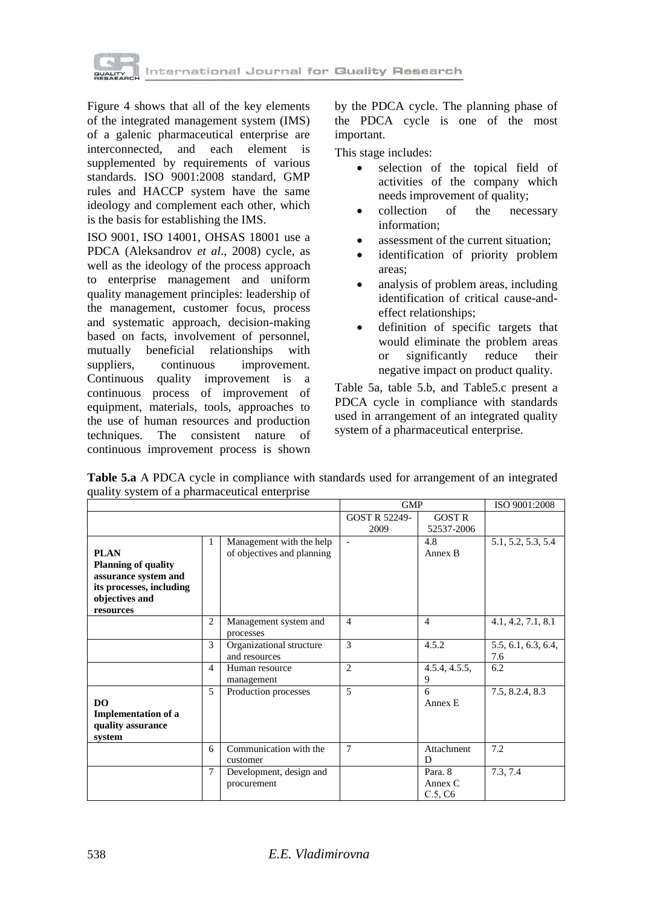

Figure 4 shows that all of the key elements of the integrated management system (IMS) of a galenic pharmaceutical enterprise are interconnected, and each element is supplemented by requirements of various standards. ISO 9001:2008 standard, GMP rules and HACCP system have the same ideology and complement each other, which is the basis for establishing the IMS.

ISO 9001, ISO 14001, OHSAS 18001 use a PDCA (Aleksandrov *et al*., 2008) cycle, as well as the ideology of the process approach to enterprise management and uniform quality management principles: leadership of the management, customer focus, process and systematic approach, decision-making based on facts, involvement of personnel, mutually beneficial relationships with suppliers, continuous improvement. Continuous quality improvement is a continuous process of improvement of equipment, materials, tools, approaches to the use of human resources and production techniques. The consistent nature of continuous improvement process is shown by the PDCA cycle. The planning phase of the PDCA cycle is one of the most important.

This stage includes:

- selection of the topical field of activities of the company which needs improvement of quality;
- collection of the necessary information;
- assessment of the current situation;
- identification of priority problem areas;
- analysis of problem areas, including identification of critical cause-andeffect relationships;
- definition of specific targets that would eliminate the problem areas or significantly reduce their negative impact on product quality.

Table 5a, table 5.b, and Table5.c present a PDCA cycle in compliance with standards used in arrangement of an integrated quality system of a pharmaceutical enterprise.

|                                                                                                                              |                |                                                        | <b>GMP</b>            |                                 | ISO 9001:2008              |
|------------------------------------------------------------------------------------------------------------------------------|----------------|--------------------------------------------------------|-----------------------|---------------------------------|----------------------------|
|                                                                                                                              |                |                                                        | GOST R 52249-<br>2009 | <b>GOST R</b><br>52537-2006     |                            |
| <b>PLAN</b><br><b>Planning of quality</b><br>assurance system and<br>its processes, including<br>objectives and<br>resources | 1              | Management with the help<br>of objectives and planning | ÷                     | 4.8<br>Annex B                  | 5.1, 5.2, 5.3, 5.4         |
|                                                                                                                              | $\overline{c}$ | Management system and<br>processes                     | $\overline{4}$        | $\overline{4}$                  | 4.1, 4.2, 7.1, 8.1         |
|                                                                                                                              | $\mathcal{R}$  | Organizational structure<br>and resources              | 3                     | 4.5.2                           | 5.5, 6.1, 6.3, 6.4,<br>7.6 |
|                                                                                                                              | 4              | Human resource<br>management                           | $\overline{2}$        | 4.5.4, 4.5.5,<br>9              | 6.2                        |
| DO.<br><b>Implementation of a</b><br>quality assurance<br>system                                                             | 5              | Production processes                                   | 5                     | 6<br>Annex E                    | 7.5, 8.2.4, 8.3            |
|                                                                                                                              | 6              | Communication with the<br>customer                     | 7                     | Attachment<br>D                 | 7.2                        |
|                                                                                                                              | $\tau$         | Development, design and<br>procurement                 |                       | Para, 8<br>Annex $C$<br>C.5, C6 | 7.3, 7.4                   |

**Table 5.a** A PDCA cycle in compliance with standards used for arrangement of an integrated quality system of a pharmaceutical enterprise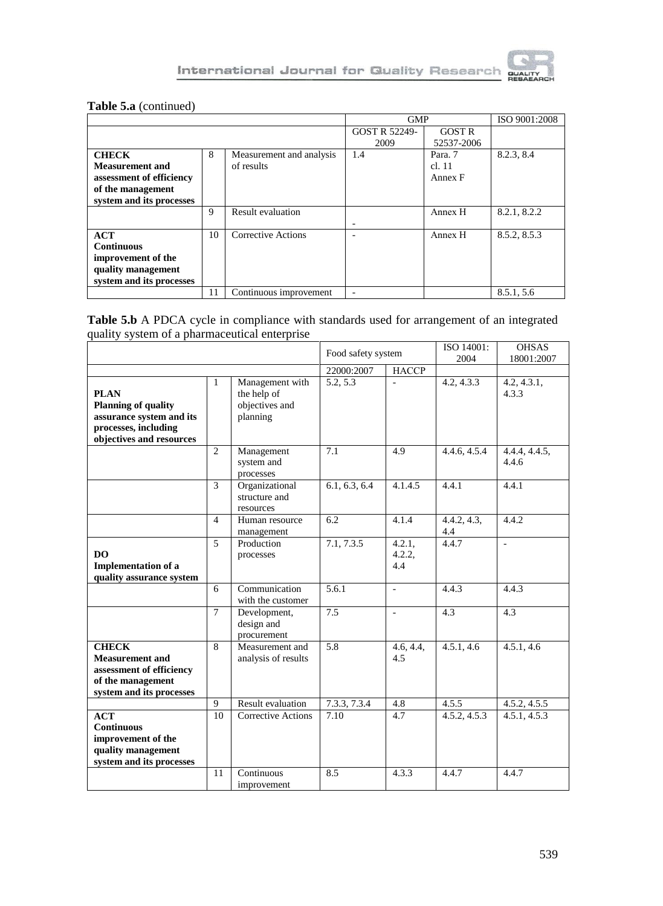

## **Table 5.a** (continued)

|                          |    |                          |               | <b>GMP</b>    |              |
|--------------------------|----|--------------------------|---------------|---------------|--------------|
|                          |    |                          | GOST R 52249- | <b>GOST R</b> |              |
|                          |    |                          | 2009          | 52537-2006    |              |
| <b>CHECK</b>             | 8  | Measurement and analysis | 1.4           | Para. 7       | 8.2.3, 8.4   |
| <b>Measurement and</b>   |    | of results               |               | cl. 11        |              |
| assessment of efficiency |    |                          |               | Annex F       |              |
| of the management        |    |                          |               |               |              |
| system and its processes |    |                          |               |               |              |
|                          | 9  | Result evaluation        |               | Annex H       | 8.2.1, 8.2.2 |
|                          |    |                          |               |               |              |
| ACT                      | 10 | Corrective Actions       |               | Annex H       | 8.5.2, 8.5.3 |
| <b>Continuous</b>        |    |                          |               |               |              |
| improvement of the       |    |                          |               |               |              |
| quality management       |    |                          |               |               |              |
| system and its processes |    |                          |               |               |              |
|                          | 11 | Continuous improvement   |               |               | 8.5.1, 5.6   |

#### **Table 5.b** A PDCA cycle in compliance with standards used for arrangement of an integrated quality system of a pharmaceutical enterprise

|                                                                                                                           |                |                                                              | Food safety system |                            | ISO 14001:<br>2004 | <b>OHSAS</b><br>18001:2007 |  |
|---------------------------------------------------------------------------------------------------------------------------|----------------|--------------------------------------------------------------|--------------------|----------------------------|--------------------|----------------------------|--|
|                                                                                                                           |                |                                                              | 22000:2007         | <b>HACCP</b>               |                    |                            |  |
| <b>PLAN</b><br><b>Planning of quality</b><br>assurance system and its<br>processes, including<br>objectives and resources | 1              | Management with<br>the help of<br>objectives and<br>planning | 5.2, 5.3           | L,                         | 4.2, 4.3.3         | 4.2, 4.3.1,<br>4.3.3       |  |
|                                                                                                                           | $\overline{2}$ | Management<br>system and<br>processes                        | 7.1                | 4.9                        | 4.4.6, 4.5.4       | 4.4.4, 4.4.5,<br>4.4.6     |  |
|                                                                                                                           | 3              | Organizational<br>structure and<br>resources                 | 6.1, 6.3, 6.4      | 4.1.4.5                    | 4.4.1              | 4.4.1                      |  |
|                                                                                                                           | 4              | Human resource<br>management                                 | 6.2                | 4.1.4                      | 4.4.2, 4.3,<br>4.4 | 4.4.2                      |  |
| D <sub>O</sub><br><b>Implementation of a</b><br>quality assurance system                                                  | 5              | Production<br>processes                                      | 7.1, 7.3.5         | $4.2.1$ ,<br>4.2.2,<br>4.4 | 4.4.7              | $\mathcal{L}$              |  |
|                                                                                                                           | 6              | Communication<br>with the customer                           | 5.6.1              | ÷                          | 4.4.3              | 4.4.3                      |  |
|                                                                                                                           | $\tau$         | Development,<br>design and<br>procurement                    | 7.5                |                            | 4.3                | 4.3                        |  |
| <b>CHECK</b><br><b>Measurement and</b><br>assessment of efficiency<br>of the management<br>system and its processes       | 8              | Measurement and<br>analysis of results                       | 5.8                | 4.6, 4.4,<br>4.5           | 4.5.1, 4.6         | 4.5.1, 4.6                 |  |
|                                                                                                                           | 9              | <b>Result evaluation</b>                                     | 7.3.3.7.3.4        | 4.8                        | 4.5.5              | 4.5.2, 4.5.5               |  |
| <b>ACT</b><br><b>Continuous</b><br>improvement of the<br>quality management<br>system and its processes                   | 10             | <b>Corrective Actions</b>                                    | 7.10               | 4.7                        | 4.5.2, 4.5.3       | 4.5.1, 4.5.3               |  |
|                                                                                                                           | 11             | Continuous<br>improvement                                    | 8.5                | 4.3.3                      | 4.4.7              | 4.4.7                      |  |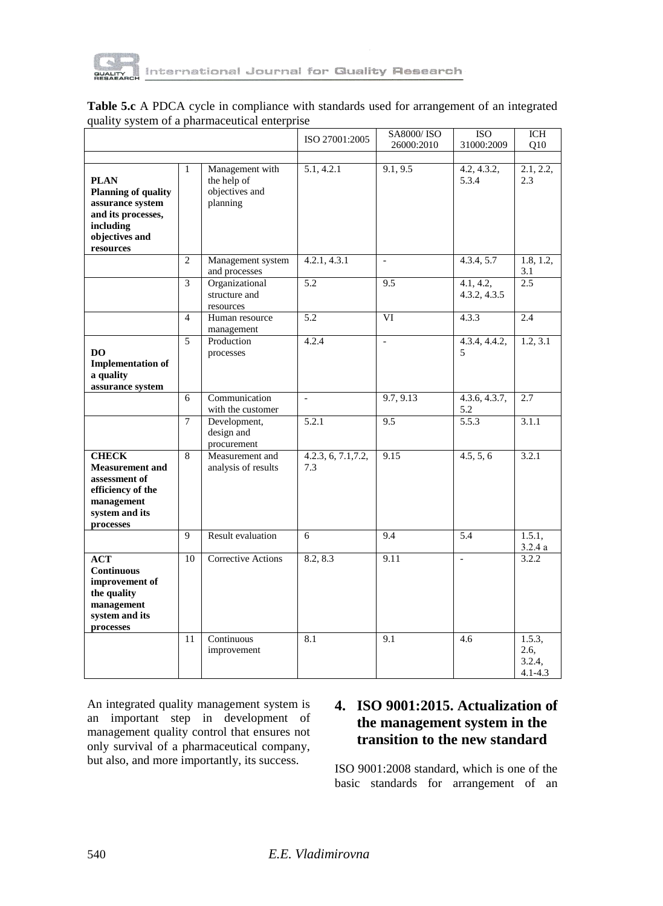

|                                                                                                                                 |                |                                                              | ISO 27001:2005                          | <b>SA8000/ISO</b><br>26000:2010 | <b>ISO</b><br>31000:2009  | ICH<br>O10                              |
|---------------------------------------------------------------------------------------------------------------------------------|----------------|--------------------------------------------------------------|-----------------------------------------|---------------------------------|---------------------------|-----------------------------------------|
| <b>PLAN</b><br><b>Planning of quality</b><br>assurance system<br>and its processes,<br>including<br>objectives and<br>resources | $\mathbf{1}$   | Management with<br>the help of<br>objectives and<br>planning | 5.1, 4.2.1                              | 9.1, 9.5                        | 4.2, 4.3.2,<br>5.3.4      | 2.1, 2.2,<br>2.3                        |
|                                                                                                                                 | $\overline{c}$ | Management system<br>and processes                           | 4.2.1, 4.3.1                            | $\overline{\phantom{a}}$        | 4.3.4, 5.7                | 1.8, 1.2,<br>3.1                        |
|                                                                                                                                 | 3              | Organizational<br>structure and<br>resources                 | $\overline{5.2}$                        | 9.5                             | 4.1, 4.2,<br>4.3.2, 4.3.5 | 2.5                                     |
|                                                                                                                                 | $\overline{4}$ | Human resource<br>management                                 | $\overline{5.2}$                        | $\overline{\rm VI}$             | 4.3.3                     | 2.4                                     |
| DO<br><b>Implementation of</b><br>a quality<br>assurance system                                                                 | 5              | Production<br>processes                                      | 4.2.4                                   | $\overline{\phantom{a}}$        | 4.3.4, 4.4.2,<br>5        | 1.2, 3.1                                |
|                                                                                                                                 | 6              | Communication<br>with the customer                           | $\overline{\phantom{a}}$                | 9.7, 9.13                       | 4.3.6, 4.3.7,<br>5.2      | 2.7                                     |
|                                                                                                                                 | $\overline{7}$ | Development,<br>design and<br>procurement                    | 5.2.1                                   | 9.5                             | $\overline{5.5.3}$        | 3.1.1                                   |
| <b>CHECK</b><br><b>Measurement and</b><br>assessment of<br>efficiency of the<br>management<br>system and its<br>processes       | 8              | Measurement and<br>analysis of results                       | $4.2.\overline{3}, 6, 7.1, 7.2,$<br>7.3 | 9.15                            | 4.5, 5, 6                 | 3.2.1                                   |
|                                                                                                                                 | 9              | <b>Result evaluation</b>                                     | 6                                       | 9.4                             | 5.4                       | 1.5.1,<br>3.2.4a                        |
| <b>ACT</b><br><b>Continuous</b><br>improvement of<br>the quality<br>management<br>system and its<br>processes                   | 10             | <b>Corrective Actions</b>                                    | 8.2, 8.3                                | 9.11                            | $\overline{a}$            | 3.2.2                                   |
|                                                                                                                                 | 11             | Continuous<br>improvement                                    | 8.1                                     | 9.1                             | 4.6                       | 1.5.3,<br>2.6,<br>3.2.4,<br>$4.1 - 4.3$ |

| <b>Table 5.c</b> A PDCA cycle in compliance with standards used for arrangement of an integrated |  |  |  |
|--------------------------------------------------------------------------------------------------|--|--|--|
| quality system of a pharmaceutical enterprise                                                    |  |  |  |

An integrated quality management system is an important step in development of management quality control that ensures not only survival of a pharmaceutical company, but also, and more importantly, its success.

# **4. ISO 9001:2015. Actualization of the management system in the transition to the new standard**

ISO 9001:2008 standard, which is one of the basic standards for arrangement of an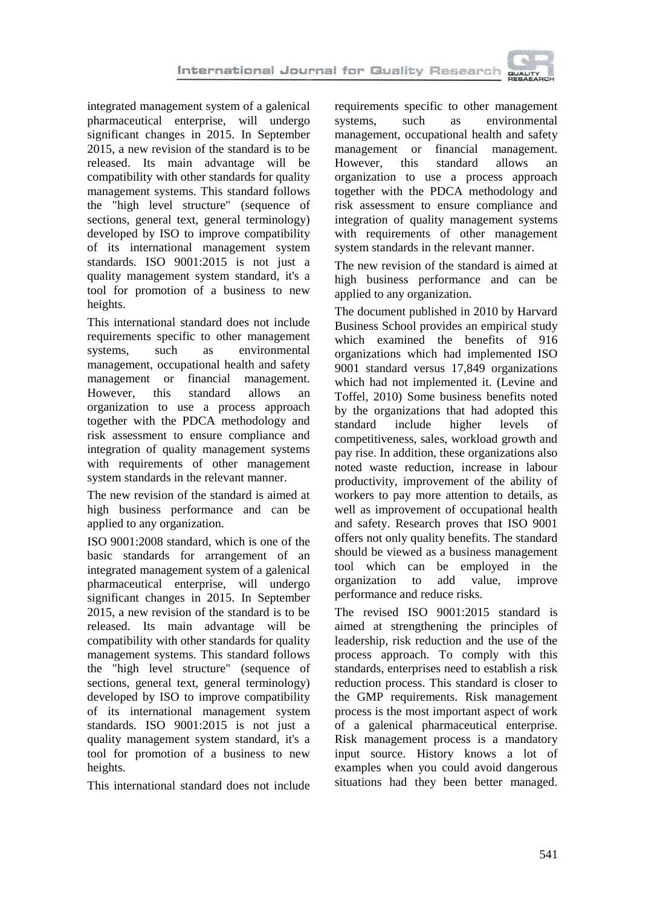

integrated management system of a galenical pharmaceutical enterprise, will undergo significant changes in 2015. In September 2015, a new revision of the standard is to be released. Its main advantage will be compatibility with other standards for quality management systems. This standard follows the "high level structure" (sequence of sections, general text, general terminology) developed by ISO to improve compatibility of its international management system standards. ISO 9001:2015 is not just a quality management system standard, it's a tool for promotion of a business to new heights.

This international standard does not include requirements specific to other management systems, such as environmental management, occupational health and safety management or financial management. However, this standard allows an organization to use a process approach together with the PDCA methodology and risk assessment to ensure compliance and integration of quality management systems with requirements of other management system standards in the relevant manner.

The new revision of the standard is aimed at high business performance and can be applied to any organization.

ISO 9001:2008 standard, which is one of the basic standards for arrangement of an integrated management system of a galenical pharmaceutical enterprise, will undergo significant changes in 2015. In September 2015, a new revision of the standard is to be released. Its main advantage will be compatibility with other standards for quality management systems. This standard follows the "high level structure" (sequence of sections, general text, general terminology) developed by ISO to improve compatibility of its international management system standards. ISO 9001:2015 is not just a quality management system standard, it's a tool for promotion of a business to new heights.

This international standard does not include

requirements specific to other management systems, such as environmental management, occupational health and safety management or financial management. However, this standard allows organization to use a process approach together with the PDCA methodology and risk assessment to ensure compliance and integration of quality management systems with requirements of other management system standards in the relevant manner.

The new revision of the standard is aimed at high business performance and can be applied to any organization.

The document published in 2010 by Harvard Business School provides an empirical study which examined the benefits of 916 organizations which had implemented ISO 9001 standard versus 17,849 organizations which had not implemented it. (Levine and Toffel, 2010) Some business benefits noted by the organizations that had adopted this standard include higher levels of competitiveness, sales, workload growth and pay rise. In addition, these organizations also noted waste reduction, increase in labour productivity, improvement of the ability of workers to pay more attention to details, as well as improvement of occupational health and safety. Research proves that ISO 9001 offers not only quality benefits. The standard should be viewed as a business management tool which can be employed in the organization to add value, improve performance and reduce risks.

The revised ISO 9001:2015 standard is aimed at strengthening the principles of leadership, risk reduction and the use of the process approach. To comply with this standards, enterprises need to establish a risk reduction process. This standard is closer to the GMP requirements. Risk management process is the most important aspect of work of a galenical pharmaceutical enterprise. Risk management process is a mandatory input source. History knows a lot of examples when you could avoid dangerous situations had they been better managed.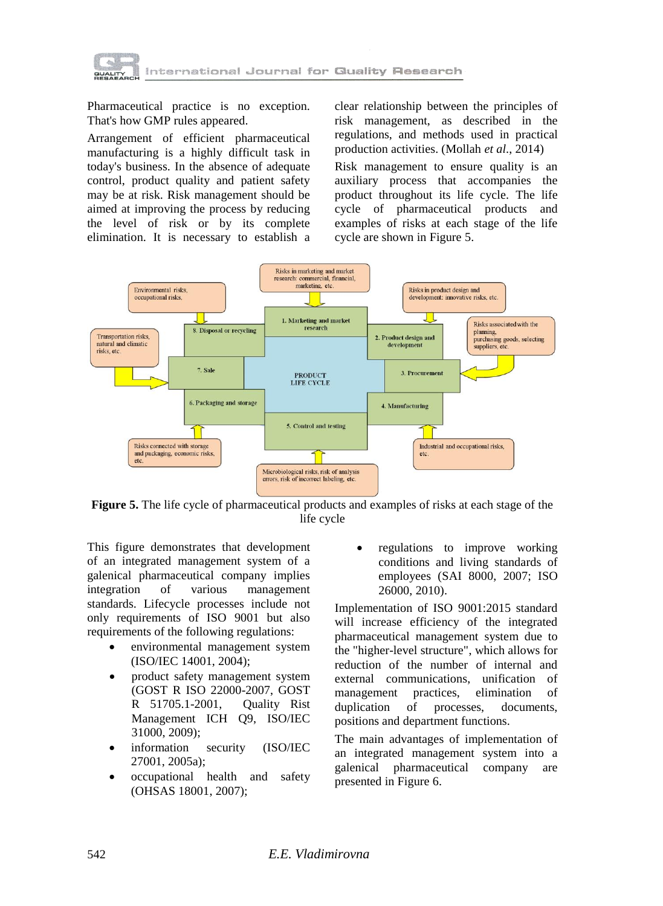

Pharmaceutical practice is no exception. That's how GMP rules appeared.

Arrangement of efficient pharmaceutical manufacturing is a highly difficult task in today's business. In the absence of adequate control, product quality and patient safety may be at risk. Risk management should be aimed at improving the process by reducing the level of risk or by its complete elimination. It is necessary to establish a clear relationship between the principles of risk management, as described in the regulations, and methods used in practical production activities. (Mollah *et al*., 2014)

Risk management to ensure quality is an auxiliary process that accompanies the product throughout its life cycle. The life cycle of pharmaceutical products and examples of risks at each stage of the life cycle are shown in Figure 5.



**Figure 5.** The life cycle of pharmaceutical products and examples of risks at each stage of the life cycle

This figure demonstrates that development of an integrated management system of a galenical pharmaceutical company implies integration of various management standards. Lifecycle processes include not only requirements of ISO 9001 but also requirements of the following regulations:

- environmental management system (ISO/IEC 14001, 2004);
- product safety management system (GOST R ISO 22000-2007, GOST R 51705.1-2001, Quality Rist Management ICH Q9, ISO/IEC 31000, 2009);
- information security (ISO/IEC 27001, 2005a);
- occupational health and safety (OHSAS 18001, 2007);

• regulations to improve working conditions and living standards of employees (SAI 8000, 2007; ISO 26000, 2010).

Implementation of ISO 9001:2015 standard will increase efficiency of the integrated pharmaceutical management system due to the "higher-level structure", which allows for reduction of the number of internal and external communications, unification of management practices, elimination of duplication of processes, documents, positions and department functions.

The main advantages of implementation of an integrated management system into a galenical pharmaceutical company are presented in Figure 6.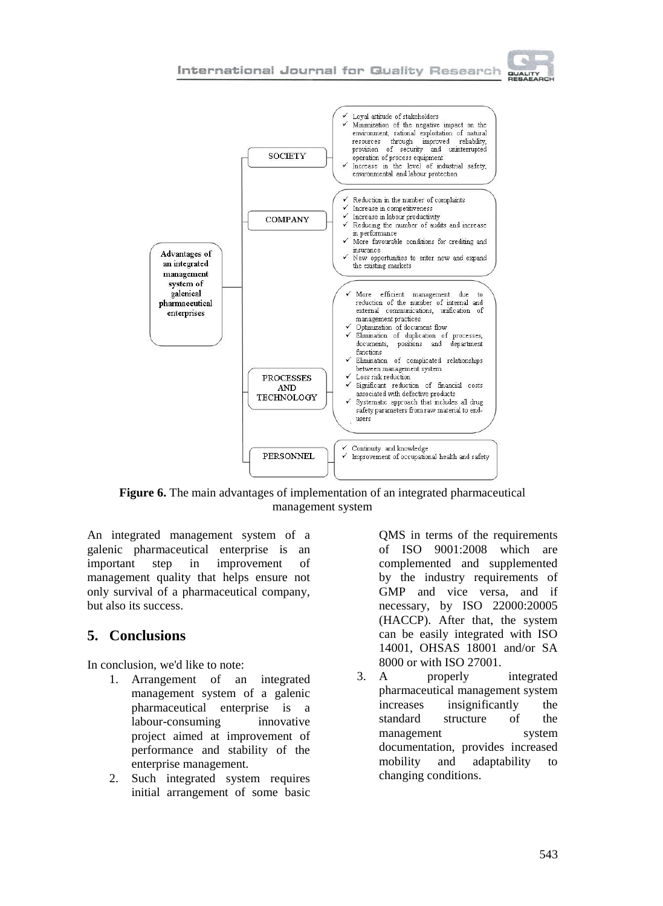





**Figure 6.** The main advantages of implementation of an integrated pharmaceutical management system

An integrated management system of a galenic pharmaceutical enterprise is an important step in improvement of management quality that helps ensure not only survival of a pharmaceutical company, but also its success.

# **5. Conclusions**

In conclusion, we'd like to note:

- 1. Arrangement of an integrated management system of a galenic pharmaceutical enterprise is a labour-consuming innovative project aimed at improvement of performance and stability of the enterprise management.
- 2. Such integrated system requires initial arrangement of some basic

QMS in terms of the requirements of ISO 9001:2008 which are complemented and supplemented by the industry requirements of GMP and vice versa, and if necessary, by ISO 22000:20005 (HACCP). After that, the system can be easily integrated with ISO 14001, OHSAS 18001 and/or SA 8000 or with ISO 27001.

3. A properly integrated pharmaceutical management system increases insignificantly the standard structure of the management system documentation, provides increased mobility and adaptability to changing conditions.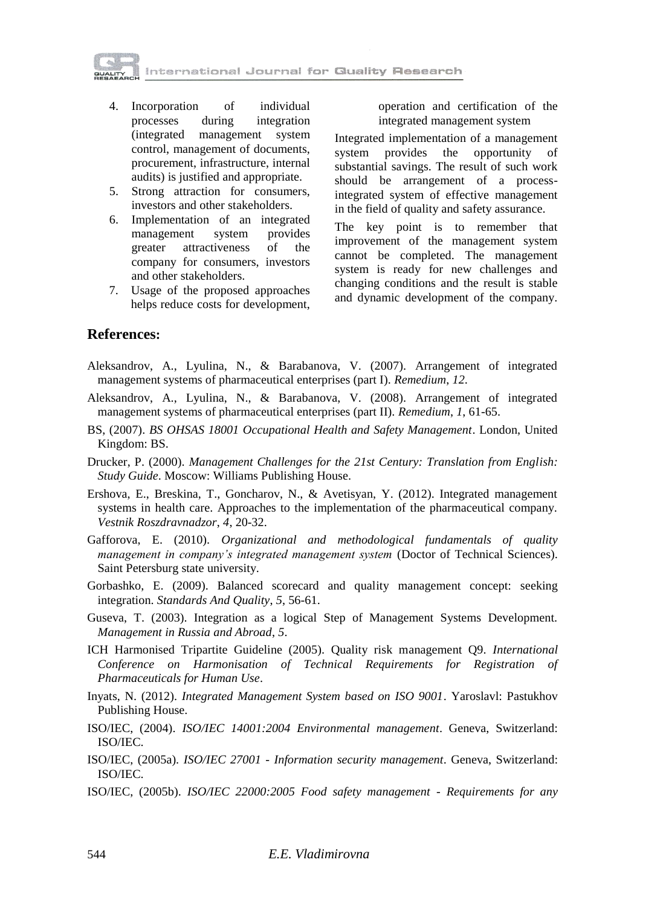

- 4. Incorporation of individual processes during integration (integrated management system control, management of documents, procurement, infrastructure, internal audits) is justified and appropriate.
- 5. Strong attraction for consumers, investors and other stakeholders.
- 6. Implementation of an integrated management system provides greater attractiveness of the company for consumers, investors and other stakeholders.
- 7. Usage of the proposed approaches helps reduce costs for development,

operation and certification of the integrated management system

Integrated implementation of a management system provides the opportunity of substantial savings. The result of such work should be arrangement of a processintegrated system of effective management in the field of quality and safety assurance.

The key point is to remember that improvement of the management system cannot be completed. The management system is ready for new challenges and changing conditions and the result is stable and dynamic development of the company.

### **References:**

- Aleksandrov, A., Lyulina, N., & Barabanova, V. (2007). Arrangement of integrated management systems of pharmaceutical enterprises (part I). *Remedium*, *12*.
- Aleksandrov, A., Lyulina, N., & Barabanova, V. (2008). Arrangement of integrated management systems of pharmaceutical enterprises (part II). *Remedium*, *1*, 61-65.
- BS, (2007). *BS OHSAS 18001 Occupational Health and Safety Management*. London, United Kingdom: BS.
- Drucker, P. (2000). *Management Challenges for the 21st Century: Translation from English: Study Guide*. Moscow: Williams Publishing House.
- Ershova, E., Breskina, T., Goncharov, N., & Avetisyan, Y. (2012). Integrated management systems in health care. Approaches to the implementation of the pharmaceutical company. *Vestnik Roszdravnadzor*, *4*, 20-32.
- Gafforova, E. (2010). *Organizational and methodological fundamentals of quality management in company's integrated management system* (Doctor of Technical Sciences). Saint Petersburg state university.
- Gorbashko, E. (2009). Balanced scorecard and quality management concept: seeking integration. *Standards And Quality*, *5*, 56-61.
- Guseva, T. (2003). Integration as a logical Step of Management Systems Development. *Management in Russia and Abroad*, *5*.
- ICH Harmonised Tripartite Guideline (2005). Quality risk management Q9. *International Conference on Harmonisation of Technical Requirements for Registration of Pharmaceuticals for Human Use*.
- Inyats, N. (2012). *Integrated Management System based on ISO 9001*. Yaroslavl: Pastukhov Publishing House.
- ISO/IEC, (2004). *ISO/IEC 14001:2004 Environmental management*. Geneva, Switzerland: ISO/IEC.
- ISO/IEC, (2005a). *ISO/IEC 27001 - Information security management*. Geneva, Switzerland: ISO/IEC.
- ISO/IEC, (2005b). *ISO/IEC 22000:2005 Food safety management - Requirements for any*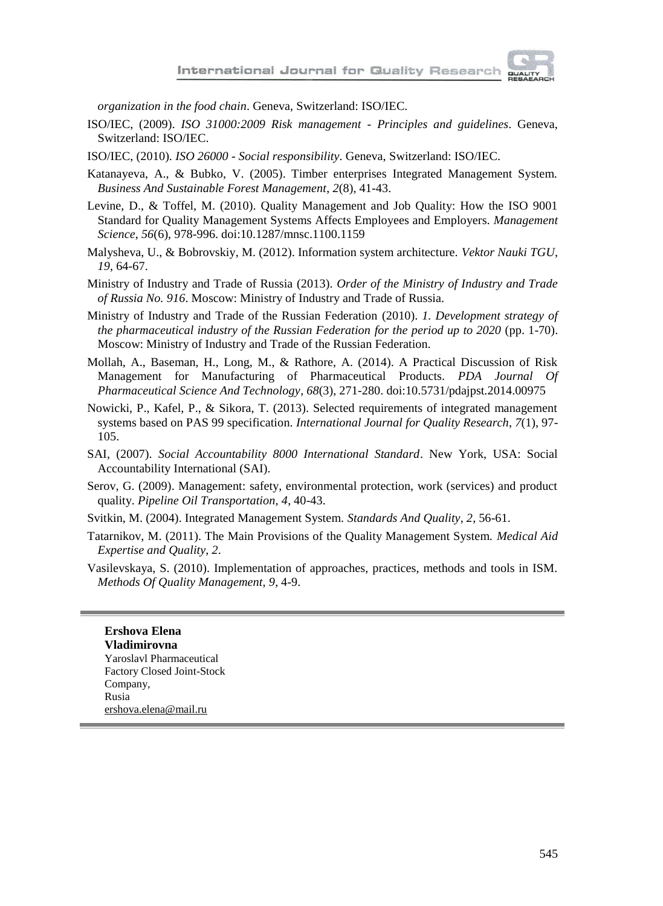*organization in the food chain*. Geneva, Switzerland: ISO/IEC.

- ISO/IEC, (2009). *ISO 31000:2009 Risk management - Principles and guidelines*. Geneva, Switzerland: ISO/IEC.
- ISO/IEC, (2010). *ISO 26000 - Social responsibility*. Geneva, Switzerland: ISO/IEC.
- Katanayeva, A., & Bubko, V. (2005). Timber enterprises Integrated Management System. *Business And Sustainable Forest Management*, *2*(8), 41-43.
- Levine, D., & Toffel, M. (2010). Quality Management and Job Quality: How the ISO 9001 Standard for Quality Management Systems Affects Employees and Employers. *Management Science*, *56*(6), 978-996. doi:10.1287/mnsc.1100.1159
- Malysheva, U., & Bobrovskiy, M. (2012). Information system architecture. *Vektor Nauki TGU*, *19*, 64-67.
- Ministry of Industry and Trade of Russia (2013). *Order of the Ministry of Industry and Trade of Russia No. 916*. Moscow: Ministry of Industry and Trade of Russia.
- Ministry of Industry and Trade of the Russian Federation (2010). *1. Development strategy of the pharmaceutical industry of the Russian Federation for the period up to 2020* (pp. 1-70). Moscow: Ministry of Industry and Trade of the Russian Federation.
- Mollah, A., Baseman, H., Long, M., & Rathore, A. (2014). A Practical Discussion of Risk Management for Manufacturing of Pharmaceutical Products. *PDA Journal Of Pharmaceutical Science And Technology*, *68*(3), 271-280. doi:10.5731/pdajpst.2014.00975
- Nowicki, P., Kafel, P., & Sikora, T. (2013). Selected requirements of integrated management systems based on PAS 99 specification. *International Journal for Quality Research*, *7*(1), 97- 105.
- SAI, (2007). *Social Accountability 8000 International Standard*. New York, USA: Social Accountability International (SAI).
- Serov, G. (2009). Management: safety, environmental protection, work (services) and product quality. *Pipeline Oil Transportation*, *4*, 40-43.
- Svitkin, M. (2004). Integrated Management System. *Standards And Quality*, *2*, 56-61.
- Tatarnikov, M. (2011). The Main Provisions of the Quality Management System. *Medical Aid Expertise and Quality*, *2*.
- Vasilevskaya, S. (2010). Implementation of approaches, practices, methods and tools in ISM. *Methods Of Quality Management*, *9*, 4-9.

**Ershova Elena Vladimirovna** Yaroslavl Pharmaceutical Factory Closed Joint-Stock Company, Rusia ershova.elena@mail.ru